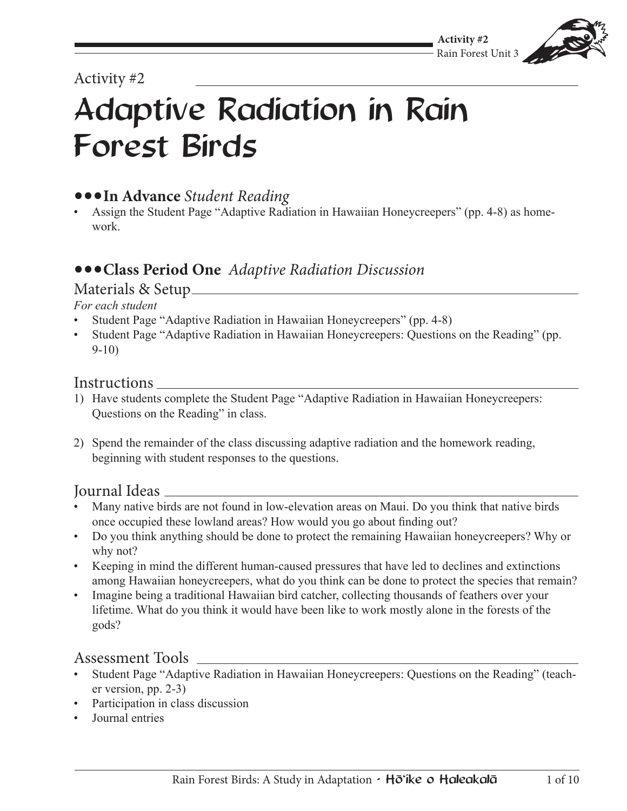## Activity #2

# Adaptive Radiation in Rain Forest Birds

# **•••In Advance** *Student Reading*

Assign the Student Page "Adaptive Radiation in Hawaiian Honeycreepers" (pp. 4-8) as homework.

## **•••Class Period One** *Adaptive Radiation Discussion*

#### Materials & Setup

#### *For each student*

- Student Page "Adaptive Radiation in Hawaiian Honeycreepers" (pp. 4-8)
- Student Page "Adaptive Radiation in Hawaiian Honeycreepers: Questions on the Reading" (pp. 9-10)

#### Instructions

- 1) Have students complete the Student Page "Adaptive Radiation in Hawaiian Honeycreepers: Questions on the Reading" in class.
- 2) Spend the remainder of the class discussing adaptive radiation and the homework reading, beginning with student responses to the questions.

#### Journal Ideas

- Many native birds are not found in low-elevation areas on Maui. Do you think that native birds once occupied these lowland areas? How would you go about finding out?
- Do you think anything should be done to protect the remaining Hawaiian honeycreepers? Why or why not?
- • Keeping in mind the different human-caused pressures that have led to declines and extinctions among Hawaiian honeycreepers, what do you think can be done to protect the species that remain?
- Imagine being a traditional Hawaiian bird catcher, collecting thousands of feathers over your lifetime. What do you think it would have been like to work mostly alone in the forests of the gods?

#### Assessment Tools

- Student Page "Adaptive Radiation in Hawaiian Honeycreepers: Questions on the Reading" (teacher version, pp. 2-3)
- Participation in class discussion
- Journal entries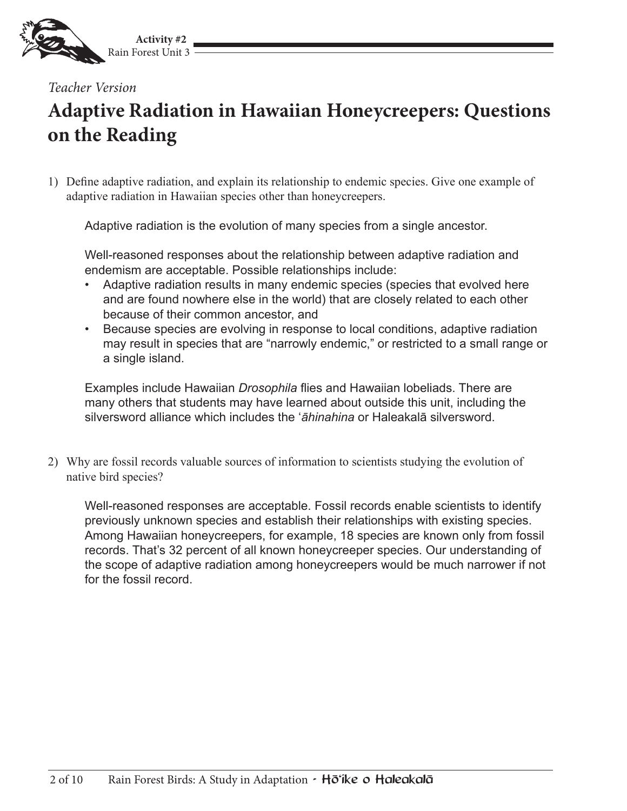

*Teacher Version*

# **Adaptive Radiation in Hawaiian Honeycreepers: Questions on the Reading**

1) Define adaptive radiation, and explain its relationship to endemic species. Give one example of adaptive radiation in Hawaiian species other than honeycreepers.

Adaptive radiation is the evolution of many species from a single ancestor.

Well-reasoned responses about the relationship between adaptive radiation and endemism are acceptable. Possible relationships include:

- Adaptive radiation results in many endemic species (species that evolved here and are found nowhere else in the world) that are closely related to each other because of their common ancestor, and
- • Because species are evolving in response to local conditions, adaptive radiation may result in species that are "narrowly endemic," or restricted to a small range or a single island.

Examples include Hawaiian *Drosophila* flies and Hawaiian lobeliads. There are many others that students may have learned about outside this unit, including the silversword alliance which includes the ʻ*āhinahina* or Haleakalā silversword.

2) Why are fossil records valuable sources of information to scientists studying the evolution of native bird species?

Well-reasoned responses are acceptable. Fossil records enable scientists to identify previously unknown species and establish their relationships with existing species. Among Hawaiian honeycreepers, for example, 18 species are known only from fossil records. That's 32 percent of all known honeycreeper species. Our understanding of the scope of adaptive radiation among honeycreepers would be much narrower if not for the fossil record.